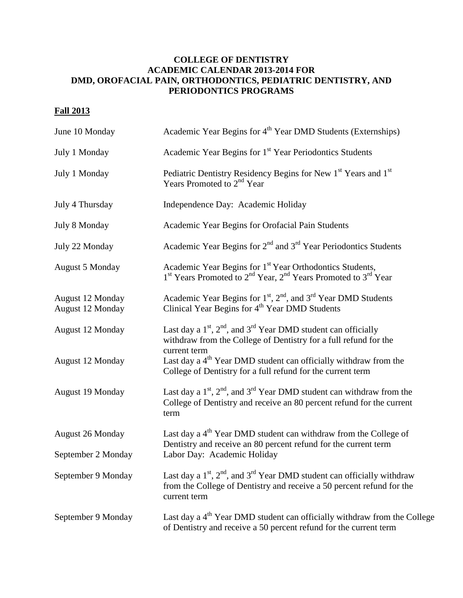## **COLLEGE OF DENTISTRY ACADEMIC CALENDAR 2013-2014 FOR DMD, OROFACIAL PAIN, ORTHODONTICS, PEDIATRIC DENTISTRY, AND PERIODONTICS PROGRAMS**

## **Fall 2013**

| June 10 Monday                       | Academic Year Begins for 4 <sup>th</sup> Year DMD Students (Externships)                                                                                                               |
|--------------------------------------|----------------------------------------------------------------------------------------------------------------------------------------------------------------------------------------|
| July 1 Monday                        | Academic Year Begins for 1 <sup>st</sup> Year Periodontics Students                                                                                                                    |
| July 1 Monday                        | Pediatric Dentistry Residency Begins for New 1 <sup>st</sup> Years and 1 <sup>st</sup><br>Years Promoted to $2nd$ Year                                                                 |
| July 4 Thursday                      | Independence Day: Academic Holiday                                                                                                                                                     |
| July 8 Monday                        | Academic Year Begins for Orofacial Pain Students                                                                                                                                       |
| July 22 Monday                       | Academic Year Begins for $2nd$ and $3rd$ Year Periodontics Students                                                                                                                    |
| <b>August 5 Monday</b>               | Academic Year Begins for 1 <sup>st</sup> Year Orthodontics Students,<br>1 <sup>st</sup> Years Promoted to 2 <sup>nd</sup> Year, 2 <sup>nd</sup> Years Promoted to 3 <sup>rd</sup> Year |
| August 12 Monday<br>August 12 Monday | Academic Year Begins for $1st$ , $2nd$ , and $3rd$ Year DMD Students<br>Clinical Year Begins for 4 <sup>th</sup> Year DMD Students                                                     |
| August 12 Monday                     | Last day a $1st$ , $2nd$ , and $3rd$ Year DMD student can officially<br>withdraw from the College of Dentistry for a full refund for the<br>current term                               |
| August 12 Monday                     | Last day a $4th$ Year DMD student can officially withdraw from the<br>College of Dentistry for a full refund for the current term                                                      |
| August 19 Monday                     | Last day a $1st$ , $2nd$ , and $3rd$ Year DMD student can withdraw from the<br>College of Dentistry and receive an 80 percent refund for the current<br>term                           |
| <b>August 26 Monday</b>              | Last day a 4 <sup>th</sup> Year DMD student can withdraw from the College of<br>Dentistry and receive an 80 percent refund for the current term                                        |
| September 2 Monday                   | Labor Day: Academic Holiday                                                                                                                                                            |
| September 9 Monday                   | Last day a $1st$ , $2nd$ , and $3rd$ Year DMD student can officially withdraw<br>from the College of Dentistry and receive a 50 percent refund for the<br>current term                 |
| September 9 Monday                   | Last day a 4 <sup>th</sup> Year DMD student can officially withdraw from the College<br>of Dentistry and receive a 50 percent refund for the current term                              |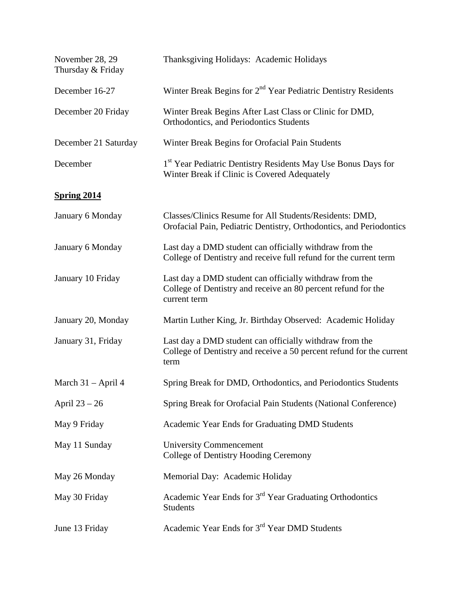| November 28, 29<br>Thursday & Friday | Thanksgiving Holidays: Academic Holidays                                                                                                 |
|--------------------------------------|------------------------------------------------------------------------------------------------------------------------------------------|
| December 16-27                       | Winter Break Begins for 2 <sup>nd</sup> Year Pediatric Dentistry Residents                                                               |
| December 20 Friday                   | Winter Break Begins After Last Class or Clinic for DMD,<br>Orthodontics, and Periodontics Students                                       |
| December 21 Saturday                 | Winter Break Begins for Orofacial Pain Students                                                                                          |
| December                             | 1 <sup>st</sup> Year Pediatric Dentistry Residents May Use Bonus Days for<br>Winter Break if Clinic is Covered Adequately                |
| <b>Spring 2014</b>                   |                                                                                                                                          |
| January 6 Monday                     | Classes/Clinics Resume for All Students/Residents: DMD,<br>Orofacial Pain, Pediatric Dentistry, Orthodontics, and Periodontics           |
| January 6 Monday                     | Last day a DMD student can officially withdraw from the<br>College of Dentistry and receive full refund for the current term             |
| January 10 Friday                    | Last day a DMD student can officially withdraw from the<br>College of Dentistry and receive an 80 percent refund for the<br>current term |
| January 20, Monday                   | Martin Luther King, Jr. Birthday Observed: Academic Holiday                                                                              |
| January 31, Friday                   | Last day a DMD student can officially withdraw from the<br>College of Dentistry and receive a 50 percent refund for the current<br>term  |
| March 31 – April 4                   | Spring Break for DMD, Orthodontics, and Periodontics Students                                                                            |
| April $23 - 26$                      | Spring Break for Orofacial Pain Students (National Conference)                                                                           |
| May 9 Friday                         | Academic Year Ends for Graduating DMD Students                                                                                           |
| May 11 Sunday                        | <b>University Commencement</b><br>College of Dentistry Hooding Ceremony                                                                  |
| May 26 Monday                        | Memorial Day: Academic Holiday                                                                                                           |
| May 30 Friday                        | Academic Year Ends for 3 <sup>rd</sup> Year Graduating Orthodontics<br><b>Students</b>                                                   |
| June 13 Friday                       | Academic Year Ends for 3 <sup>rd</sup> Year DMD Students                                                                                 |